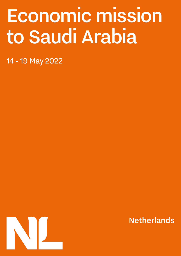# Economic mission to Saudi Arabia

14 - 19 May 2022



**Netherlands**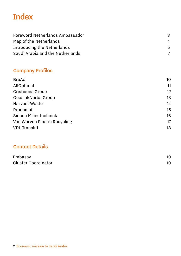# <span id="page-1-0"></span>Index

| Foreword Netherlands Ambassador  |                        |
|----------------------------------|------------------------|
| Map of the Netherlands           | $\boldsymbol{\Lambda}$ |
| Introducing the Netherlands      | 5                      |
| Saudi Arabia and the Netherlands |                        |

# [Company Profiles](#page-8-0)

| <b>BreAd</b>                 | 10 |
|------------------------------|----|
| AllOptimal                   | 11 |
| Cristiaens Group             | 12 |
| GeesinkNorba Group           | 13 |
| Harvest Waste                | 14 |
| Procomat                     | 15 |
| Sidcon Milieutechniek        | 16 |
| Van Werven Plastic Recycling | 17 |
| <b>VDL</b> Translift         | 18 |

# [Contact Details](#page-18-0)

| Embassy             |  |
|---------------------|--|
| Cluster Coordinator |  |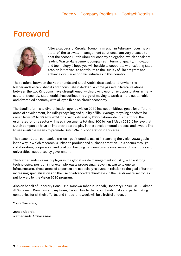# <span id="page-2-0"></span>Foreword



After a successful Circular Economy mission in February, focusing on state-of-the-art water management solutions, I am very pleased to host the second Dutch Circular Economy delegation, which consist of leading Waste Management companies in terms of quality, innovation and technology. I hope you will be able to cooperate with existing Saudi Arabian initiatives, to contribute to the Quality of Life program and enhance circular economic initiatives in this country.

The relations between the Netherlands and Saudi Arabia date back to 1872 when the Netherlands established its first consulate in Jeddah. As time passed, bilateral relations between the two Kingdoms have strengthened, with growing economic opportunities in many sectors. Recently, Saudi Arabia has outlined the urge of moving towards a more sustainable and diversified economy with all eyes fixed on circular economy.

The Saudi reform and diversification agenda Vision 2030 has set ambitious goals for different areas of development, including recycling and quality of life. Average recycling needs to be raised from 5% to 80% by 2024 for Riyadh city and by 2030 nationwide. Furthermore, the estimates for this sector will need investments totaling 300 billion SAR by 2030. I believe that Dutch companies have an important part to play in this developmental process and I would like to use available means to promote Dutch-Saudi cooperation in this area.

The reason Dutch companies are well-positioned to assist in reaching the Vision 2030 goals is the way in which research is linked to product and business creation. This occurs through collaboration, cooperation and coalition building between businesses, research institutes and universities, supported by government.

The Netherlands is a major player in the global waste management industry, with a strong technological position in for example waste processing, recycling, waste to energy infrastructure. These areas of expertise are especially relevant in relation to the goal of further increasing specialization and the use of advanced technologies in the Saudi waste sector, as put forward by the Vision 2030 program.

Also on behalf of Honorary Consul Ms. Nashwa Taher in Jeddah, Honorary Consul Mr. Sulaiman Al Suhaimi in Dammam and my team, I would like to thank our Saudi hosts and participating companies for all their efforts, and I hope this week will be a fruitful endeavor.

Yours Sincerely,

Janet Alberda Netherlands Ambassador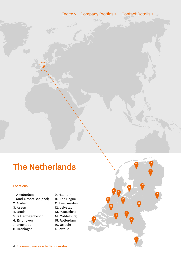<span id="page-3-0"></span> $\frac{1}{\sigma_{\rm{eff}}^2} \sum_{n=1}^{\infty} \frac{1}{n^2} \, \sigma_{\rm{eff}}^2$ 

# The Netherlands

#### Locations

#### 1. Amsterdam (and Airport Schiphol)

- 2. Arnhem
- 3. Assen
- 4. Breda
- 5. 's Hertogenbosch
- 6. Eindhoven
- 7. Enschede
- 8. Groningen
- 9. Haarlem
- 10. The Hague
- 11. Leeuwarden
- 12. Lelystad
- 13. Maastricht
- 14. Middelburg
- 15. Rotterdam
- 16. Utrecht
- 17. Zwolle

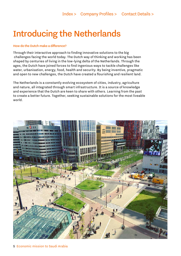# <span id="page-4-0"></span>Introducing the Netherlands

#### How do the Dutch make a difference?

Through their interactive approach to finding innovative solutions to the big challenges facing the world today. The Dutch way of thinking and working has been shaped by centuries of living in the low-lying delta of the Netherlands. Through the ages, the Dutch have joined forces to find ingenious ways to tackle challenges like water, urbanisation, energy, food, health and security. By being inventive, pragmatic and open to new challenges, the Dutch have created a flourishing and resilient land.

The Netherlands is a constantly evolving ecosystem of cities, industry, agriculture and nature, all integrated through smart infrastructure. It is a source of knowledge and experience that the Dutch are keen to share with others. Learning from the past to create a better future. Together, seeking sustainable solutions for the most liveable world.

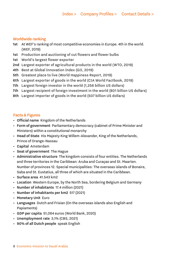### Worldwide ranking

- 1st At WEF's ranking of most competitive economies in Europe. 4th in the world. (WEF, 2019)
- 1st Production and auctioning of cut flowers and flower bulbs
- 1st World's largest flower exporter
- 2nd Largest exporter of agricultural products in the world (WTO, 2019)
- 4th Best at Global Innovation Index (GII, 2019)
- 5th Greatest place to live (World Happiness Report, 2019)
- 6th Largest exporter of goods in the world (CIA World Factbook, 2019)
- 7th Largest foreign investor in the world (1,256 billion US dollars)
- 7th Largest recipient of foreign investment in the world (801 billion US dollars)
- 8th Largest importer of goods in the world (507 billion US dollars)

### Facts & Figures

- Official name Kingdom of the Netherlands
- Form of government Parliamentary democracy (cabinet of Prime Minister and Ministers) within a constitutional monarchy
- Head of State His Majesty King Willem-Alexander, King of the Netherlands, Prince of Orange-Nassau
- Capital Amsterdam
- Seat of government The Hague
- Administrative structure The kingdom consists of four entities. The Netherlands and three territories in the Caribbean: Aruba and Curaçao and St. Maarten. Number of provinces 12. Special municipalities: The overseas islands of Bonaire, Saba and St. Eustatius, all three of which are situated in the Caribbean.
- Surface area 41.543 km2
- Location Western Europe, by the North Sea, bordering Belgium and Germany
- Number of inhabitants 17.4 million (2021)
- Number of inhabitants per km2 517 (2021)
- Monetary Unit Euro
- Languages Dutch and Frisian (On the overseas islands also English and Papiaments)
- GDP per capita 51,064 euros (World Bank, 2020)
- Unemployment rate 3,1% (CBS, 2021)
- 90% of all Dutch people speak English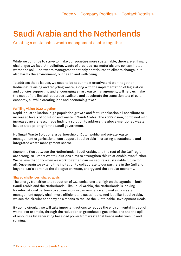# <span id="page-6-0"></span>Saudi Arabia and the Netherlands

Creating a sustainable waste management sector together

While we continue to strive to make our societies more sustainable, there are still many challenges we face. Air pollution, waste of precious raw materials and contaminated water and soil. Poor waste management not only contributes to climate change, but also harms the environment, our health and well-being.

To address these issues, we need to be at our most creative and work together. Reducing, re-using and recycling waste, along with the implementation of legislation and policies supporting and encouraging smart waste management, will help us make the most of the limited resources available and accelerate the transition to a circular economy, all while creating jobs and economic growth.

#### Fulfilling Vision 2030 together

Rapid industrialisation, high population growth and fast urbanisation all contribute to increased levels of pollution and waste in Saudi Arabia. The 2030 Vision, combined with increased awareness, made finding a solution to address the above-mentioned waste issues a top priority for the Saudi government.

NL Smart Waste Solutions, a partnership of Dutch public and private waste management organisations, can support Saudi Arabia in creating a sustainable and integrated waste management sector.

Economic ties between the Netherlands, Saudi Arabia, and the rest of the Gulf region are strong. NL Smart Waste Solutions aims to strengthen this relationship even further. We believe that only when we work together, can we secure a sustainable future for all. Once again we extend this invitation to collaborate to our partners in the Gulf and beyond. Let's continue the dialogue on water, energy and the circular economy.

#### Shared challenges, shared goals

The energy transition and reduction of CO2 emissions are high on the agenda in both Saudi Arabia and the Netherlands. Like Saudi Arabia, the Netherlands is looking for international partners to advance our urban resilience and make our waste management supply chain more efficient and sustainable. And just like Saudi Arabia, we see the circular economy as a means to realise the Sustainable Development Goals.

By going circular, we will take important actions to reduce the environmental impact of waste. For example, through the reduction of greenhouse gas emissions and the spill of resources by generating baseload power from waste that keeps industries up and running.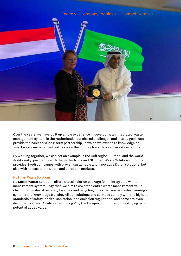

Over the years, we have built up ample experience in developing an integrated waste management system in the Netherlands, our shared challenges and shared goals can provide the basis for a long-term partnership, in which we exchange knowledge on smart waste management solutions on the journey towards a zero-waste economy.

By working together, we can set an example in the Gulf region, Europe, and the world. Additionally, partnering with the Netherlands and NL Smart Waste Solutions not only provides Saudi companies with proven sustainable and innovative Dutch solutions, but also with access to the Dutch and European markets.

#### NL Smart Waste Solutions

NL Smart Waste Solutions offers a total solution package for an integrated waste management system. Together, we aim to cover the entire waste management value chain, from material recovery facilities and recycling infrastructure to waste-to-energy systems and knowledge transfer. All our solutions and services comply with the highest standards of safety, health, sanitation, and emission regulations, and some are even described as 'Best Available Technology' by the European Commission, testifying to our potential added value.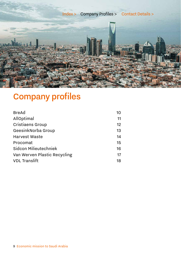<span id="page-8-0"></span>

# Company profiles

| 10                                 |
|------------------------------------|
| 11                                 |
| 12                                 |
| GeesinkNorba Group<br>13           |
| 14                                 |
| 15                                 |
| Sidcon Milieutechniek<br>16        |
| Van Werven Plastic Recycling<br>17 |
| 18                                 |
|                                    |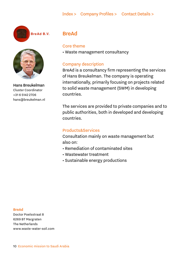## [Index >](#page-1-0) [Company Profiles >](#page-8-0) [Contact Details >](#page-18-0)

<span id="page-9-0"></span>

BreAd B.V.



Hans Breukelman Cluster Coordinator +31 6 5142 2706 hans@breukelman.nl

# BreAd

#### Core theme

• Waste management consultancy

# Company description

BreAd is a consultancy firm representing the services of Hans Breukelman. The company is operating internationally, primarily focusing on projects related to solid waste management (SWM) in developing countries.

The services are provided to private companies and to public authorities, both in developed and developing countries.

# Products&Services

Consultation mainly on waste management but also on:

- Remediation of contaminated sites
- Wastewater treatment
- Sustainable energy productions

#### BreAd

Doctor Poelsstraat 8 6269 BT Margraten The Netherlands www.waste-water-soil.com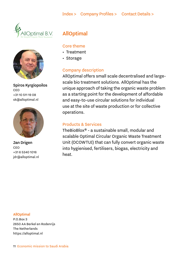<span id="page-10-0"></span>



Spiros Kyrgiopoilos CEO +31 10 511 19 08 sk@alloptimal.nl



Jan Drigen **CEO** +31 6 5340 1016 jdr@alloptimal.nl

# AllOptimal

### Core theme

- Treatment
- Storage

# Company description

AllOptimal offers small scale decentralised and largescale bio treatment solutions. AllOptimal has the unique approach of taking the organic waste problem as a starting point for the development of affordable and easy-to-use circular solutions for individual use at the site of waste production or for collective operations.

# Products & Services

TheBioBlox® - a sustainable small, modular and scalable Optimal Circular Organic Waste Treatment Unit (OCOWTUI) that can fully convert organic waste into hygienised, fertilisers, biogas, electricity and heat.

#### AllOptimal

P.O.Box 3 2650 AA Berkel en Rodenrijs The Netherlands <https://alloptimal.nl>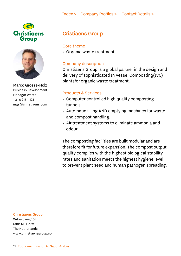<span id="page-11-0"></span>



Marco Grosze-Holz Business Development Manager Waste +31 6 2171 1121 mgs@christiaens.com

# Cristiaens Group

# Core theme

• Organic waste treatment

# Company description

Christiaens Group is a global partner in the design and delivery of sophisticated In Vessel Composting(IVC) plantsfor organic waste treatment.

# Products & Services

- Computer controlled high quality composting tunnels.
- Automatic filling AND emptying machines for waste and compost handling.
- Air treatment systems to eliminate ammonia and odour.

The composting facilities are built modular and are therefore fit for future expansion. The compost output quality complies with the highest biological stability rates and sanitation meets the highest hygiene level to prevent plant seed and human pathogen spreading.

#### Christiaens Group

Witveldweg 104 5961 ND Horst The Netherlands www.christiaensgroup.com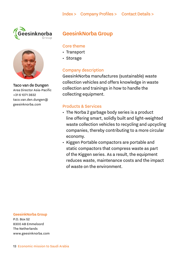<span id="page-12-0"></span>



Taco van de Dungen Area Director Asia-Pacific +31 6 1071 3832 [taco.van.den.dungen@](mailto:taco.van.den.dungen%40geesinknorba.com?subject=)  [geesinknorba.com](mailto:taco.van.den.dungen%40geesinknorba.com?subject=)

# GeesinkNorba Group

# Core theme

- Transport
- Storage

# Company description

GeesinkNorba manufactures (sustainable) waste collection vehicles and offers knowledge in waste collection and trainings in how to handle the collecting equipment.

# Products & Services

- The Norba 2 garbage body series is a product line offering smart, solidly built and light-weighted waste collection vehicles to recycling and upcycling companies, thereby contributing to a more circular economy.
- Kiggen Portable compactors are portable and static compactors that compress waste as part of the Kiggen series. As a result, the equipment reduces waste, maintenance costs and the impact of waste on the environment.

#### GeesinkNorba Group

P.O. Box 52 8300 AB Emmeloord The Netherlands www.geesinknorba.com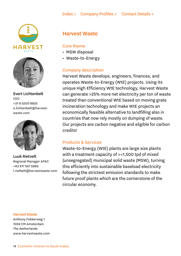<span id="page-13-0"></span>



Evert Lichtenbelt CEO +31 6 5200 8825 [e.lichtenbelt@harvest](mailto:e.lichtenbelt%40harvestwaste.com?subject=)[waste.com](mailto:e.lichtenbelt%40harvestwaste.com?subject=)



Luuk Rietvelt Regional Manager APAC +63 917 557 5885 [l.rietbelt@harvestwaste.com](mailto:l.rietbelt%40harvestwaste.com?subject=)

# Harvest Waste

# Core theme

- MSW disposal
- Waste-to-Energy

# Company description

Harvest Waste develops, engineers, finances, and operates Waste-to-Energy (WtE) projects. Using its unique High Efficiency WtE technology, Harvest Waste can generate >25% more net electricity per ton of waste treated than conventional WtE based on moving grate incineration technology and make WtE projects an economically feasible alternative to landfilling also in countries that now rely mostly on dumping of waste. Our projects are carbon negative and eligible for carbon credits!

# Products & Services

Waste-to-Energy (WtE) plants are large size plants with a treatment capacity of >=1,500 tpd of mixed (unsegregated) municipal solid waste (MSW), turning this efficiently into sustainable baseload electricity following the strictest emission standards to make future proof plants which are the cornerstone of the circular economy.

#### Harvest Waste

Anthony Fokkerweg 1 1059 CM Amsterdam The Netherlands [www.harvestwaste.com](http://www.harvestwaste.com)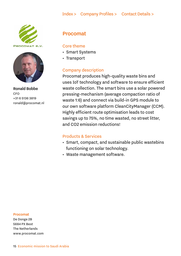# [Index >](#page-1-0) [Company Profiles >](#page-8-0) [Contact Details >](#page-18-0)

<span id="page-14-0"></span>

PROCOMAT B.V.



Ronald Bobbe CFO +31 6 5136 3819 ronald@procomat.nl

# Procomat

#### Core theme

- Smart Systems
- Transport

# Company description

Procomat produces high-quality waste bins and uses IoT technology and software to ensure efficient waste collection. The smart bins use a solar powered pressing-mechanism (average compaction ratio of waste 1:6) and connect via build-in GPS module to our own software platform CleanCityManager (CCM). Highly efficient route optimisation leads to cost savings up to 75%, no time wasted, no street litter, and CO2 emission reductions!

#### Products & Services

- Smart, compact, and sustainable public wastebins functioning on solar technology.
- Waste management software.

#### Procomat

De Donge 2B 5684 PX Best The Netherlands [www.procomat.com](http://www.procomat.com)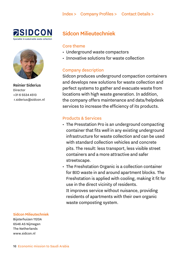<span id="page-15-0"></span>



Reinier Siderius Director +31 6 5534 4513  [r.siderius@sidcon.nl](mailto:%20r.siderius%40sidcon.nl?subject=)

# Sidcon Milieutechniek

# Core theme

- Underground waste compactors
- Innovative solutions for waste collection

# Company description

Sidcon produces underground compaction containers and develops new solutions for waste collection and perfect systems to gather and evacuate waste from locations with high waste generation. In addition, the company offers maintenance and data/helpdesk services to increase the efficiency of its products.

# Products & Services

- The Presstation Pro is an underground compacting container that fits well in any existing underground infrastructure for waste collection and can be used with standard collection vehicles and concrete pits. The result: less transport, less visible street containers and a more attractive and safer streetscape.
- The Freshstation Organic is a collection container for BIO waste in and around apartment blocks. The Freshstation is applied with cooling, making it fit for use in the direct vicinity of residents. It improves service without nuisance, providing residents of apartments with their own organic

waste composting system.

#### Sidcon Milieutechniek

Bijsterhuizen 1120A 6546 AS Nijmegen The Netherlands [www.sidcon.nl](http://www.sidcon.nl)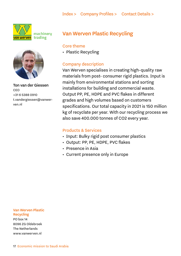<span id="page-16-0"></span>

machinery trading



Ton van der Giessen **CEO** +31 6 5388 0910 [t.vandergiessen@vanwer](mailto:t.vandergiessen%40vanwerven.nl?subject=)[ven.nl](mailto:t.vandergiessen%40vanwerven.nl?subject=)

# Van Werven Plastic Recycling

### Core theme

• Plastic Recycling

# Company description

Van Werven specialises in creating high-quality raw materials from post- consumer rigid plastics. Input is mainly from environmental stations and sorting installations for building and commercial waste. Output PP, PE, HDPE and PVC flakes in different grades and high volumes based on customers specifications. Our total capacity in 2021 is 150 million kg of recyclate per year. With our recycling process we also save 400.000 tonnes of CO2 every year.

# Products & Services

- Input: Bulky rigid post consumer plastics
- Output: PP, PE, HDPE, PVC flakes
- Presence in Asia
- Current presence only in Europe

#### Van Werven Plastic Recycling

PO box 14 8096 ZG Oldebroek The Netherlands [www.vanwerven.nl](http://www.vanwerven.nl)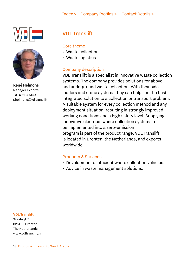<span id="page-17-0"></span>



René Helmons Manager Exports +31 6 5124 5149 [r.](mailto:r.helmons%40vdltranslift.nl?subject=)helmons@vdltranslift.nl

# VDL Translift

# Core theme

- Waste collection
- Waste logistics

# Company description

VDL Translift is a specialist in innovative waste collection systems. The company provides solutions for above and underground waste collection. With their side loaders and crane systems they can help find the best integrated solution to a collection or transport problem. A suitable system for every collection method and any deployment situation, resulting in strongly improved working conditions and a high safety level. Supplying innovative electrical waste collection systems to be implemented into a zero-emission program is part of the product range. VDL Translift is located in Dronten, the Netherlands, and exports worldwide.

# Products & Services

- Development of efficient waste collection vehicles.
- Advice in waste management solutions.

#### VDL Translift

Staalwijk 7 8251 JP Dronten The Netherlands [www.vdltranslift.nl](http://www.vdltranslift.nl)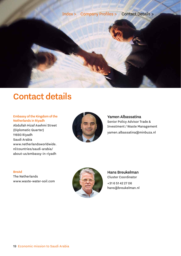<span id="page-18-0"></span>

# Contact details

#### Embassy of the Kingdom of the Netherlands in Riyadh

Abdullah Hizaf Asehmi Street (Diplomatic Quarter) 11693 Riyadh Saudi Arabia [www.netherlandsworldwide.](http://www.netherlandsworldwide.nl/countries/saudi-arabia/about-us/embassy-in-riyadh) [nl/countries/saudi-arabia/](http://www.netherlandsworldwide.nl/countries/saudi-arabia/about-us/embassy-in-riyadh) [about-us/embassy-in-riyadh](http://www.netherlandsworldwide.nl/countries/saudi-arabia/about-us/embassy-in-riyadh)



Yamen Albassatina Senior Policy Advisor Trade & Investment / Waste Management yamen.albassatina@minbuza.nl

#### BreAd

The Netherlands [www.waste-water-soil.com](http://www.waste-water-soil.com )



Hans Breukelman Cluster Coordinator +31 6 51 42 27 06

hans@breukelman.nl